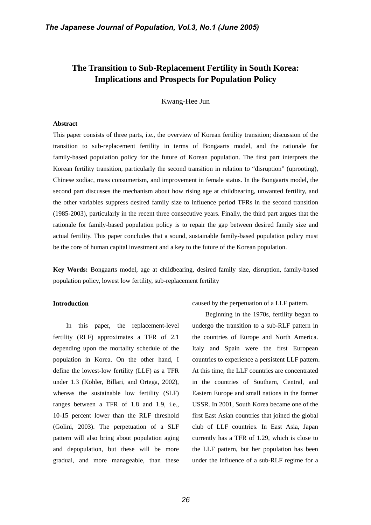# **The Transition to Sub-Replacement Fertility in South Korea: Implications and Prospects for Population Policy**

Kwang-Hee Jun

#### **Abstract**

This paper consists of three parts, i.e., the overview of Korean fertility transition; discussion of the transition to sub-replacement fertility in terms of Bongaarts model, and the rationale for family-based population policy for the future of Korean population. The first part interprets the Korean fertility transition, particularly the second transition in relation to "disruption" (uprooting), Chinese zodiac, mass consumerism, and improvement in female status. In the Bongaarts model, the second part discusses the mechanism about how rising age at childbearing, unwanted fertility, and the other variables suppress desired family size to influence period TFRs in the second transition (1985-2003), particularly in the recent three consecutive years. Finally, the third part argues that the rationale for family-based population policy is to repair the gap between desired family size and actual fertility. This paper concludes that a sound, sustainable family-based population policy must be the core of human capital investment and a key to the future of the Korean population.

**Key Words:** Bongaarts model, age at childbearing, desired family size, disruption, family-based population policy, lowest low fertility, sub-replacement fertility

# **Introduction**

In this paper, the replacement-level fertility (RLF) approximates a TFR of 2.1 depending upon the mortality schedule of the population in Korea. On the other hand, I define the lowest-low fertility (LLF) as a TFR under 1.3 (Kohler, Billari, and Ortega, 2002), whereas the sustainable low fertility (SLF) ranges between a TFR of 1.8 and 1.9, i.e., 10-15 percent lower than the RLF threshold (Golini, 2003). The perpetuation of a SLF pattern will also bring about population aging and depopulation, but these will be more gradual, and more manageable, than these

caused by the perpetuation of a LLF pattern.

Beginning in the 1970s, fertility began to undergo the transition to a sub-RLF pattern in the countries of Europe and North America. Italy and Spain were the first European countries to experience a persistent LLF pattern. At this time, the LLF countries are concentrated in the countries of Southern, Central, and Eastern Europe and small nations in the former USSR. In 2001, South Korea became one of the first East Asian countries that joined the global club of LLF countries. In East Asia, Japan currently has a TFR of 1.29, which is close to the LLF pattern, but her population has been under the influence of a sub-RLF regime for a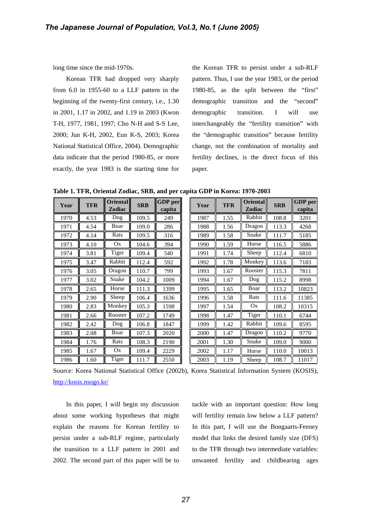long time since the mid-1970s.

Korean TFR had dropped very sharply from 6.0 in 1955-60 to a LLF pattern in the beginning of the twenty-first century, i.e., 1.30 in 2001, 1.17 in 2002, and 1.19 in 2003 (Kwon T-H, 1977, 1981, 1997; Cho N-H and S-S Lee, 2000; Jun K-H, 2002, Eun K-S, 2003; Korea National Statistical Office, 2004). Demographic data indicate that the period 1980-85, or more exactly, the year 1983 is the starting time for

the Korean TFR to persist under a sub-RLF pattern. Thus, I use the year 1983, or the period 1980-85, as the split between the "first" demographic transition and the "second" demographic transition. I will use interchangeably the "fertility transition" with the "demographic transition" because fertility change, not the combination of mortality and fertility declines, is the direct focus of this paper.

**Table 1. TFR, Oriental Zodiac, SRB, and per capita GDP in Korea: 1970-2003**

| Year | <b>TFR</b> | <b>Oriental</b><br>Zodiac | <b>SRB</b> | <b>GDP</b> per<br>capita | Year | <b>TFR</b> | <b>Oriental</b><br><b>Zodiac</b> | <b>SRB</b> | <b>GDP</b> per<br>capita |
|------|------------|---------------------------|------------|--------------------------|------|------------|----------------------------------|------------|--------------------------|
| 1970 | 4.53       | Dog                       | 109.5      | 249                      | 1987 | 1.55       | Rabbit                           | 108.8      | 3201                     |
| 1971 | 4.54       | Boar                      | 109.0      | 286                      | 1988 | 1.56       | Dragon                           | 113.3      | 4268                     |
| 1972 | 4.14       | Rats                      | 109.5      | 316                      | 1989 | 1.58       | Snake                            | 111.7      | 5185                     |
| 1973 | 4.10       | Ox                        | 104.6      | 394                      | 1990 | 1.59       | Horse                            | 116.5      | 5886                     |
| 1974 | 3.81       | Tiger                     | 109.4      | 540                      | 1991 | 1.74       | Sheep                            | 112.4      | 6810                     |
| 1975 | 3.47       | Rabbit                    | 112.4      | 592                      | 1992 | 1.78       | Monkey                           | 113.6      | 7183                     |
| 1976 | 3.05       | Dragon                    | 110.7      | 799                      | 1993 | 1.67       | Rooster                          | 115.3      | 7811                     |
| 1977 | 3.02       | Snake                     | 104.2      | 1009                     | 1994 | 1.67       | Dog                              | 115.2      | 8998                     |
| 1978 | 2.65       | Horse                     | 111.3      | 1399                     | 1995 | 1.65       | Boar                             | 113.2      | 10823                    |
| 1979 | 2.90       | Sheep                     | 106.4      | 1636                     | 1996 | 1.58       | Rats                             | 111.6      | 11385                    |
| 1980 | 2.83       | Monkey                    | 105.3      | 1598                     | 1997 | 1.54       | Ox                               | 108.2      | 10315                    |
| 1981 | 2.66       | Rooster                   | 107.2      | 1749                     | 1998 | 1.47       | Tiger                            | 110.1      | 6744                     |
| 1982 | 2.42       | Dog                       | 106.8      | 1847                     | 1999 | 1.42       | Rabbit                           | 109.6      | 8595                     |
| 1983 | 2.08       | Boar                      | 107.3      | 2020                     | 2000 | 1.47       | Dragon                           | 110.2      | 9770                     |
| 1984 | 1.76       | Rats                      | 108.3      | 2190                     | 2001 | 1.30       | Snake                            | 109.0      | 9000                     |
| 1985 | 1.67       | Ox                        | 109.4      | 2229                     | 2002 | 1.17       | Horse                            | 110.0      | 10013                    |
| 1986 | 1.60       | <b>Tiger</b>              | 111.7      | 2550                     | 2003 | 1.19       | Sheep                            | 108.7      | 11017                    |

Source: Korea National Statistical Office (2002b), Korea Statistical Information System (KOSIS), http://kosis.nsogo.kr/

In this paper, I will begin my discussion about some working hypotheses that might explain the reasons for Korean fertility to persist under a sub-RLF regime, particularly the transition to a LLF pattern in 2001 and 2002. The second part of this paper will be to

tackle with an important question: How long will fertility remain low below a LLF pattern? In this part, I will use the Bongaarts-Feeney model that links the desired family size (DFS) to the TFR through two intermediate variables: unwanted fertility and childbearing ages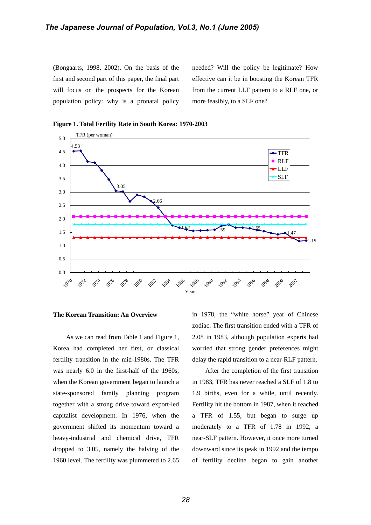(Bongaarts, 1998, 2002). On the basis of the first and second part of this paper, the final part will focus on the prospects for the Korean population policy: why is a pronatal policy

needed? Will the policy be legitimate? How effective can it be in boosting the Korean TFR from the current LLF pattern to a RLF one, or more feasibly, to a SLF one?



**Figure 1. Total Fertlity Rate in South Korea: 1970-2003** 

#### **The Korean Transition: An Overview**

As we can read from Table 1 and Figure 1, Korea had completed her first, or classical fertility transition in the mid-1980s. The TFR was nearly 6.0 in the first-half of the 1960s, when the Korean government began to launch a state-sponsored family planning program together with a strong drive toward export-led capitalist development. In 1976, when the government shifted its momentum toward a heavy-industrial and chemical drive, TFR dropped to 3.05, namely the halving of the 1960 level. The fertility was plummeted to 2.65 in 1978, the "white horse" year of Chinese zodiac. The first transition ended with a TFR of 2.08 in 1983, although population experts had worried that strong gender preferences might delay the rapid transition to a near-RLF pattern.

After the completion of the first transition in 1983, TFR has never reached a SLF of 1.8 to 1.9 births, even for a while, until recently. Fertility hit the bottom in 1987, when it reached a TFR of 1.55, but began to surge up moderately to a TFR of 1.78 in 1992, a near-SLF pattern. However, it once more turned downward since its peak in 1992 and the tempo of fertility decline began to gain another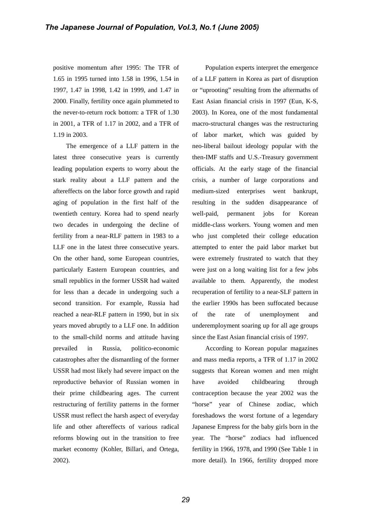positive momentum after 1995: The TFR of 1.65 in 1995 turned into 1.58 in 1996, 1.54 in 1997, 1.47 in 1998, 1.42 in 1999, and 1.47 in 2000. Finally, fertility once again plummeted to the never-to-return rock bottom: a TFR of 1.30 in 2001, a TFR of 1.17 in 2002, and a TFR of 1.19 in 2003.

The emergence of a LLF pattern in the latest three consecutive years is currently leading population experts to worry about the stark reality about a LLF pattern and the aftereffects on the labor force growth and rapid aging of population in the first half of the twentieth century. Korea had to spend nearly two decades in undergoing the decline of fertility from a near-RLF pattern in 1983 to a LLF one in the latest three consecutive years. On the other hand, some European countries, particularly Eastern European countries, and small republics in the former USSR had waited for less than a decade in undergoing such a second transition. For example, Russia had reached a near-RLF pattern in 1990, but in six years moved abruptly to a LLF one. In addition to the small-child norms and attitude having prevailed in Russia, politico-economic catastrophes after the dismantling of the former USSR had most likely had severe impact on the reproductive behavior of Russian women in their prime childbearing ages. The current restructuring of fertility patterns in the former USSR must reflect the harsh aspect of everyday life and other aftereffects of various radical reforms blowing out in the transition to free market economy (Kohler, Billari, and Ortega, 2002).

Population experts interpret the emergence of a LLF pattern in Korea as part of disruption or "uprooting" resulting from the aftermaths of East Asian financial crisis in 1997 (Eun, K-S, 2003). In Korea, one of the most fundamental macro-structural changes was the restructuring of labor market, which was guided by neo-liberal bailout ideology popular with the then-IMF staffs and U.S.-Treasury government officials. At the early stage of the financial crisis, a number of large corporations and medium-sized enterprises went bankrupt, resulting in the sudden disappearance of well-paid, permanent jobs for Korean middle-class workers. Young women and men who just completed their college education attempted to enter the paid labor market but were extremely frustrated to watch that they were just on a long waiting list for a few jobs available to them. Apparently, the modest recuperation of fertility to a near-SLF pattern in the earlier 1990s has been suffocated because of the rate of unemployment and underemployment soaring up for all age groups since the East Asian financial crisis of 1997.

According to Korean popular magazines and mass media reports, a TFR of 1.17 in 2002 suggests that Korean women and men might have avoided childbearing through contraception because the year 2002 was the "horse" year of Chinese zodiac, which foreshadows the worst fortune of a legendary Japanese Empress for the baby girls born in the year. The "horse" zodiacs had influenced fertility in 1966, 1978, and 1990 (See Table 1 in more detail). In 1966, fertility dropped more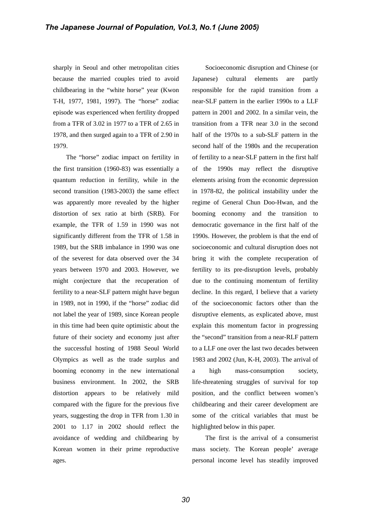sharply in Seoul and other metropolitan cities because the married couples tried to avoid childbearing in the "white horse" year (Kwon T-H, 1977, 1981, 1997). The "horse" zodiac episode was experienced when fertility dropped from a TFR of 3.02 in 1977 to a TFR of 2.65 in 1978, and then surged again to a TFR of 2.90 in 1979.

The "horse" zodiac impact on fertility in the first transition (1960-83) was essentially a quantum reduction in fertility, while in the second transition (1983-2003) the same effect was apparently more revealed by the higher distortion of sex ratio at birth (SRB). For example, the TFR of 1.59 in 1990 was not significantly different from the TFR of 1.58 in 1989, but the SRB imbalance in 1990 was one of the severest for data observed over the 34 years between 1970 and 2003. However, we might conjecture that the recuperation of fertility to a near-SLF pattern might have begun in 1989, not in 1990, if the "horse" zodiac did not label the year of 1989, since Korean people in this time had been quite optimistic about the future of their society and economy just after the successful hosting of 1988 Seoul World Olympics as well as the trade surplus and booming economy in the new international business environment. In 2002, the SRB distortion appears to be relatively mild compared with the figure for the previous five years, suggesting the drop in TFR from 1.30 in 2001 to 1.17 in 2002 should reflect the avoidance of wedding and childbearing by Korean women in their prime reproductive ages.

Socioeconomic disruption and Chinese (or Japanese) cultural elements are partly responsible for the rapid transition from a near-SLF pattern in the earlier 1990s to a LLF pattern in 2001 and 2002. In a similar vein, the transition from a TFR near 3.0 in the second half of the 1970s to a sub-SLF pattern in the second half of the 1980s and the recuperation of fertility to a near-SLF pattern in the first half of the 1990s may reflect the disruptive elements arising from the economic depression in 1978-82, the political instability under the regime of General Chun Doo-Hwan, and the booming economy and the transition to democratic governance in the first half of the 1990s. However, the problem is that the end of socioeconomic and cultural disruption does not bring it with the complete recuperation of fertility to its pre-disruption levels, probably due to the continuing momentum of fertility decline. In this regard, I believe that a variety of the socioeconomic factors other than the disruptive elements, as explicated above, must explain this momentum factor in progressing the "second" transition from a near-RLF pattern to a LLF one over the last two decades between 1983 and 2002 (Jun, K-H, 2003). The arrival of a high mass-consumption society, life-threatening struggles of survival for top position, and the conflict between women's childbearing and their career development are some of the critical variables that must be highlighted below in this paper.

The first is the arrival of a consumerist mass society. The Korean people' average personal income level has steadily improved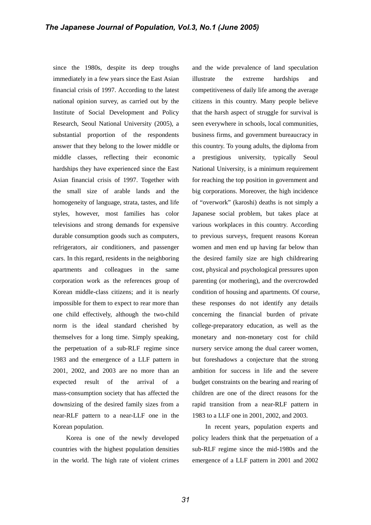since the 1980s, despite its deep troughs immediately in a few years since the East Asian financial crisis of 1997. According to the latest national opinion survey, as carried out by the Institute of Social Development and Policy Research, Seoul National University (2005), a substantial proportion of the respondents answer that they belong to the lower middle or middle classes, reflecting their economic hardships they have experienced since the East Asian financial crisis of 1997. Together with the small size of arable lands and the homogeneity of language, strata, tastes, and life styles, however, most families has color televisions and strong demands for expensive durable consumption goods such as computers, refrigerators, air conditioners, and passenger cars. In this regard, residents in the neighboring apartments and colleagues in the same corporation work as the references group of Korean middle-class citizens; and it is nearly impossible for them to expect to rear more than one child effectively, although the two-child norm is the ideal standard cherished by themselves for a long time. Simply speaking, the perpetuation of a sub-RLF regime since 1983 and the emergence of a LLF pattern in 2001, 2002, and 2003 are no more than an expected result of the arrival of a mass-consumption society that has affected the downsizing of the desired family sizes from a near-RLF pattern to a near-LLF one in the Korean population.

Korea is one of the newly developed countries with the highest population densities in the world. The high rate of violent crimes

and the wide prevalence of land speculation illustrate the extreme hardships and competitiveness of daily life among the average citizens in this country. Many people believe that the harsh aspect of struggle for survival is seen everywhere in schools, local communities, business firms, and government bureaucracy in this country. To young adults, the diploma from a prestigious university, typically Seoul National University, is a minimum requirement for reaching the top position in government and big corporations. Moreover, the high incidence of "overwork" (karoshi) deaths is not simply a Japanese social problem, but takes place at various workplaces in this country. According to previous surveys, frequent reasons Korean women and men end up having far below than the desired family size are high childrearing cost, physical and psychological pressures upon parenting (or mothering), and the overcrowded condition of housing and apartments. Of course, these responses do not identify any details concerning the financial burden of private college-preparatory education, as well as the monetary and non-monetary cost for child nursery service among the dual career women, but foreshadows a conjecture that the strong ambition for success in life and the severe budget constraints on the bearing and rearing of children are one of the direct reasons for the rapid transition from a near-RLF pattern in 1983 to a LLF one in 2001, 2002, and 2003.

In recent years, population experts and policy leaders think that the perpetuation of a sub-RLF regime since the mid-1980s and the emergence of a LLF pattern in 2001 and 2002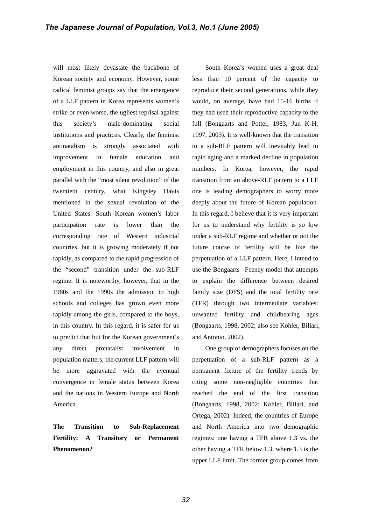will most likely devastate the backbone of Korean society and economy. However, some radical feminist groups say that the emergence of a LLF pattern in Korea represents women's strike or even worse, the ugliest reprisal against this society's male-dominating social institutions and practices. Clearly, the feminist antinatalism is strongly associated with improvement in female education and employment in this country, and also in great parallel with the "most silent revolution" of the twentieth century, what Kingsley Davis mentioned in the sexual revolution of the United States. South Korean women's labor participation rate is lower than the corresponding rate of Western industrial countries, but it is growing moderately if not rapidly, as compared to the rapid progression of the "second" transition under the sub-RLF regime. It is noteworthy, however, that in the 1980s and the 1990s the admission to high schools and colleges has grown even more rapidly among the girls, compared to the boys, in this country. In this regard, it is safer for us to predict that but for the Korean government's any direct pronatalist involvement in population matters, the current LLF pattern will be more aggravated with the eventual convergence in female status between Korea and the nations in Western Europe and North America.

**The Transition to Sub-Replacement Fertility: A Transitory or Permanent Phenomenon?** 

South Korea's women uses a great deal less than 10 percent of the capacity to reproduce their second generations, while they would, on average, have had 15-16 births if they had used their reproductive capacity to the full (Bongaarts and Potter, 1983, Jun K-H, 1997, 2003). It is well-known that the transition to a sub-RLF pattern will inevitably lead to rapid aging and a marked decline in population numbers. In Korea, however, the rapid transition from an above-RLF pattern to a LLF one is leading demographers to worry more deeply about the future of Korean population. In this regard, I believe that it is very important for us to understand why fertility is so low under a sub-RLF regime and whether or not the future course of fertility will be like the perpetuation of a LLF pattern. Here, I intend to use the Bongaarts –Feeney model that attempts to explain the difference between desired family size (DFS) and the total fertility rate (TFR) through two intermediate variables: unwanted fertility and childbearing ages (Bongaarts, 1998, 2002; also see Kohler, Billari, and Antonio, 2002).

One group of demographers focuses on the perpetuation of a sub-RLF pattern as a permanent fixture of the fertility trends by citing some non-negligible countries that reached the end of the first transition (Bongaarts, 1998, 2002; Kohler, Billari, and Ortega, 2002). Indeed, the countries of Europe and North America into two demographic regimes: one having a TFR above 1.3 vs. the other having a TFR below 1.3, where 1.3 is the upper LLF limit. The former group comes from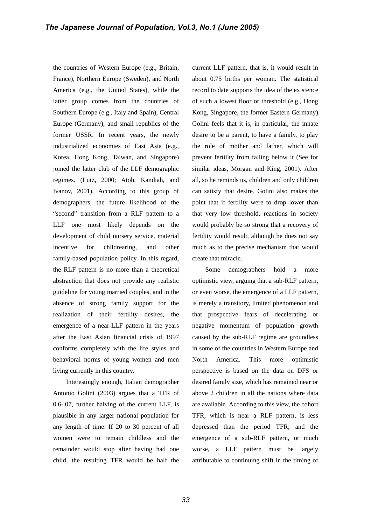the countries of Western Europe (e.g., Britain, France), Northern Europe (Sweden), and North America (e.g., the United States), while the latter group comes from the countries of Southern Europe (e.g., Italy and Spain), Central Europe (Germany), and small republics of the former USSR. In recent years, the newly industrialized economies of East Asia (e.g., Korea, Hong Kong, Taiwan, and Singapore) joined the latter club of the LLF demographic regimes. (Lutz, 2000; Atoh, Kandiah, and Ivanov, 2001). According to this group of demographers, the future likelihood of the "second" transition from a RLF pattern to a LLF one most likely depends on the development of child nursery service, material incentive for childrearing, and other family-based population policy. In this regard, the RLF pattern is no more than a theoretical abstraction that does not provide any realistic guideline for young married couples, and in the absence of strong family support for the realization of their fertility desires, the emergence of a near-LLF pattern in the years after the East Asian financial crisis of 1997 conforms completely with the life styles and behavioral norms of young women and men living currently in this country.

Interestingly enough, Italian demographer Antonio Golini (2003) argues that a TFR of 0.6-.07, further halving of the current LLF, is plausible in any larger national population for any length of time. If 20 to 30 percent of all women were to remain childless and the remainder would stop after having had one child, the resulting TFR would be half the current LLF pattern, that is, it would result in about 0.75 births per woman. The statistical record to date supports the idea of the existence of such a lowest floor or threshold (e.g., Hong Kong, Singapore, the former Eastern Germany). Golini feels that it is, in particular, the innate desire to be a parent, to have a family, to play the role of mother and father, which will prevent fertility from falling below it (See for similar ideas, Morgan and King, 2001). After all, so he reminds us, children and only children can satisfy that desire. Golini also makes the point that if fertility were to drop lower than that very low threshold, reactions in society would probably be so strong that a recovery of fertility would result, although he does not say much as to the precise mechanism that would create that miracle.

Some demographers hold a more optimistic view, arguing that a sub-RLF pattern, or even worse, the emergence of a LLF pattern, is merely a transitory, limited phenomenon and that prospective fears of decelerating or negative momentum of population growth caused by the sub-RLF regime are groundless in some of the countries in Western Europe and North America. This more optimistic perspective is based on the data on DFS or desired family size, which has remained near or above 2 children in all the nations where data are available. According to this view, the cohort TFR, which is near a RLF pattern, is less depressed than the period TFR; and the emergence of a sub-RLF pattern, or much worse, a LLF pattern must be largely attributable to continuing shift in the timing of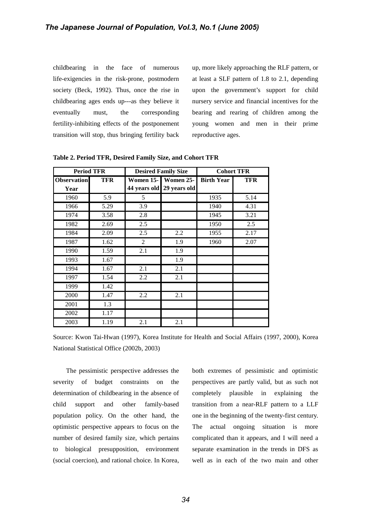childbearing in the face of numerous life-exigencies in the risk-prone, postmodern society (Beck, 1992). Thus, once the rise in childbearing ages ends up---as they believe it eventually must, the corresponding fertility-inhibiting effects of the postponement transition will stop, thus bringing fertility back

up, more likely approaching the RLF pattern, or at least a SLF pattern of 1.8 to 2.1, depending upon the government's support for child nursery service and financial incentives for the bearing and rearing of children among the young women and men in their prime reproductive ages.

| <b>Period TFR</b>          |            |                | <b>Desired Family Size</b>                       | <b>Cohort TFR</b> |            |  |  |
|----------------------------|------------|----------------|--------------------------------------------------|-------------------|------------|--|--|
| <b>Observation</b><br>Year | <b>TFR</b> |                | Women 15- Women 25-<br>44 years old 29 years old | <b>Birth Year</b> | <b>TFR</b> |  |  |
| 1960                       | 5.9        | 5              |                                                  | 1935              | 5.14       |  |  |
| 1966                       | 5.29       | 3.9            |                                                  | 1940              | 4.31       |  |  |
| 1974                       | 3.58       | 2.8            |                                                  | 1945              | 3.21       |  |  |
| 1982                       | 2.69       | 2.5            |                                                  | 1950              | 2.5        |  |  |
| 1984                       | 2.09       | 2.5            | 2.2                                              | 1955              | 2.17       |  |  |
| 1987                       | 1.62       | $\overline{2}$ | 1.9                                              | 1960              | 2.07       |  |  |
| 1990                       | 1.59       | 2.1            | 1.9                                              |                   |            |  |  |
| 1993                       | 1.67       |                | 1.9                                              |                   |            |  |  |
| 1994                       | 1.67       | 2.1            | 2.1                                              |                   |            |  |  |
| 1997                       | 1.54       | 2.2            | 2.1                                              |                   |            |  |  |
| 1999                       | 1.42       |                |                                                  |                   |            |  |  |
| 2000                       | 1.47       | 2.2            | 2.1                                              |                   |            |  |  |
| 2001                       | 1.3        |                |                                                  |                   |            |  |  |
| 2002                       | 1.17       |                |                                                  |                   |            |  |  |
| 2003                       | 1.19       | 2.1            | 2.1                                              |                   |            |  |  |

**Table 2. Period TFR, Desired Family Size, and Cohort TFR** 

Source: Kwon Tai-Hwan (1997), Korea Institute for Health and Social Affairs (1997, 2000), Korea National Statistical Office (2002b, 2003)

The pessimistic perspective addresses the severity of budget constraints on the determination of childbearing in the absence of child support and other family-based population policy. On the other hand, the optimistic perspective appears to focus on the number of desired family size, which pertains to biological presupposition, environment (social coercion), and rational choice. In Korea,

both extremes of pessimistic and optimistic perspectives are partly valid, but as such not completely plausible in explaining the transition from a near-RLF pattern to a LLF one in the beginning of the twenty-first century. The actual ongoing situation is more complicated than it appears, and I will need a separate examination in the trends in DFS as well as in each of the two main and other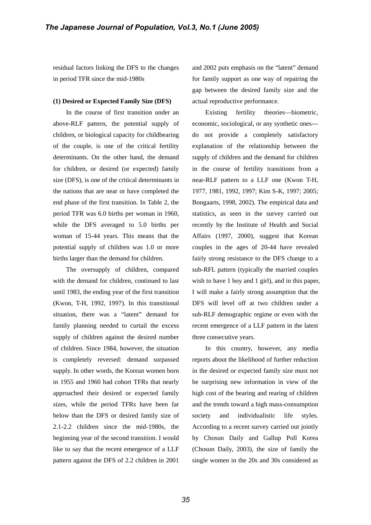residual factors linking the DFS to the changes in period TFR since the mid-1980s

#### **(1) Desired or Expected Family Size (DFS)**

In the course of first transition under an above-RLF pattern, the potential supply of children, or biological capacity for childbearing of the couple, is one of the critical fertility determinants. On the other hand, the demand for children, or desired (or expected) family size (DFS), is one of the critical determinants in the nations that are near or have completed the end phase of the first transition. In Table 2, the period TFR was 6.0 births per woman in 1960, while the DFS averaged to 5.0 births per woman of 15-44 years. This means that the potential supply of children was 1.0 or more births larger than the demand for children.

The oversupply of children, compared with the demand for children, continued to last until 1983, the ending year of the first transition (Kwon, T-H, 1992, 1997). In this transitional situation, there was a "latent" demand for family planning needed to curtail the excess supply of children against the desired number of children. Since 1984, however, the situation is completely reversed: demand surpassed supply. In other words, the Korean women born in 1955 and 1960 had cohort TFRs that nearly approached their desired or expected family sizes, while the period TFRs have been far below than the DFS or desired family size of 2.1-2.2 children since the mid-1980s, the beginning year of the second transition. I would like to say that the recent emergence of a LLF pattern against the DFS of 2.2 children in 2001 and 2002 puts emphasis on the "latent" demand for family support as one way of repairing the gap between the desired family size and the actual reproductive performance.

Existing fertility theories—biometric, economic, sociological, or any synthetic ones-- do not provide a completely satisfactory explanation of the relationship between the supply of children and the demand for children in the course of fertility transitions from a near-RLF pattern to a LLF one (Kwon T-H, 1977, 1981, 1992, 1997; Kim S-K, 1997; 2005; Bongaarts, 1998, 2002). The empirical data and statistics, as seen in the survey carried out recently by the Institute of Health and Social Affairs (1997, 2000), suggest that Korean couples in the ages of 20-44 have revealed fairly strong resistance to the DFS change to a sub-RFL pattern (typically the married couples wish to have 1 boy and 1 girl), and in this paper, I will make a fairly strong assumption that the DFS will level off at two children under a sub-RLF demographic regime or even with the recent emergence of a LLF pattern in the latest three consecutive years.

In this country, however, any media reports about the likelihood of further reduction in the desired or expected family size must not be surprising new information in view of the high cost of the bearing and rearing of children and the trends toward a high mass-consumption society and individualistic life styles. According to a recent survey carried out jointly by Chosun Daily and Gallup Poll Korea (Chosun Daily, 2003), the size of family the single women in the 20s and 30s considered as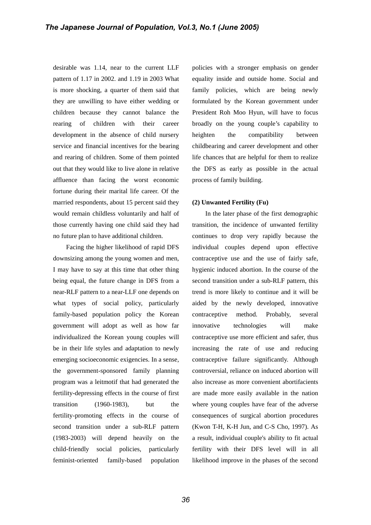desirable was 1.14, near to the current LLF pattern of 1.17 in 2002. and 1.19 in 2003 What is more shocking, a quarter of them said that they are unwilling to have either wedding or children because they cannot balance the rearing of children with their career development in the absence of child nursery service and financial incentives for the bearing and rearing of children. Some of them pointed out that they would like to live alone in relative affluence than facing the worst economic fortune during their marital life career. Of the married respondents, about 15 percent said they would remain childless voluntarily and half of those currently having one child said they had no future plan to have additional children.

Facing the higher likelihood of rapid DFS downsizing among the young women and men, I may have to say at this time that other thing being equal, the future change in DFS from a near-RLF pattern to a near-LLF one depends on what types of social policy, particularly family-based population policy the Korean government will adopt as well as how far individualized the Korean young couples will be in their life styles and adaptation to newly emerging socioeconomic exigencies. In a sense, the government-sponsored family planning program was a leitmotif that had generated the fertility-depressing effects in the course of first transition (1960-1983), but the fertility-promoting effects in the course of second transition under a sub-RLF pattern (1983-2003) will depend heavily on the child-friendly social policies, particularly feminist-oriented family-based population

policies with a stronger emphasis on gender equality inside and outside home. Social and family policies, which are being newly formulated by the Korean government under President Roh Moo Hyun, will have to focus broadly on the young couple's capability to heighten the compatibility between childbearing and career development and other life chances that are helpful for them to realize the DFS as early as possible in the actual process of family building.

#### **(2) Unwanted Fertility (Fu)**

In the later phase of the first demographic transition, the incidence of unwanted fertility continues to drop very rapidly because the individual couples depend upon effective contraceptive use and the use of fairly safe, hygienic induced abortion. In the course of the second transition under a sub-RLF pattern, this trend is more likely to continue and it will be aided by the newly developed, innovative contraceptive method. Probably, several innovative technologies will make contraceptive use more efficient and safer, thus increasing the rate of use and reducing contraceptive failure significantly. Although controversial, reliance on induced abortion will also increase as more convenient abortifacients are made more easily available in the nation where young couples have fear of the adverse consequences of surgical abortion procedures (Kwon T-H, K-H Jun, and C-S Cho, 1997). As a result, individual couple's ability to fit actual fertility with their DFS level will in all likelihood improve in the phases of the second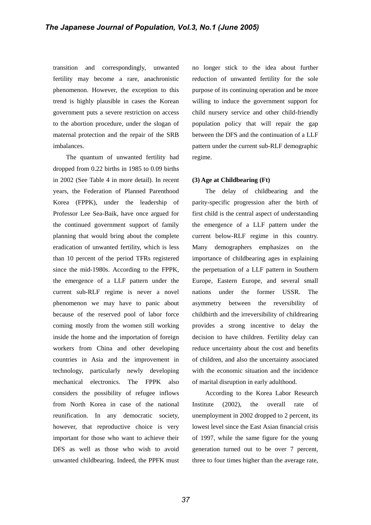transition and correspondingly, unwanted fertility may become a rare, anachronistic phenomenon. However, the exception to this trend is highly plausible in cases the Korean government puts a severe restriction on access to the abortion procedure, under the slogan of maternal protection and the repair of the SRB imbalances.

The quantum of unwanted fertility had dropped from 0.22 births in 1985 to 0.09 births in 2002 (See Table 4 in more detail). In recent years, the Federation of Planned Parenthood Korea (FPPK), under the leadership of Professor Lee Sea-Baik, have once argued for the continued government support of family planning that would bring about the complete eradication of unwanted fertility, which is less than 10 percent of the period TFRs registered since the mid-1980s. According to the FPPK, the emergence of a LLF pattern under the current sub-RLF regime is never a novel phenomenon we may have to panic about because of the reserved pool of labor force coming mostly from the women still working inside the home and the importation of foreign workers from China and other developing countries in Asia and the improvement in technology, particularly newly developing mechanical electronics. The FPPK also considers the possibility of refugee inflows from North Korea in case of the national reunification. In any democratic society, however, that reproductive choice is very important for those who want to achieve their DFS as well as those who wish to avoid unwanted childbearing. Indeed, the PPFK must no longer stick to the idea about further reduction of unwanted fertility for the sole purpose of its continuing operation and be more willing to induce the government support for child nursery service and other child-friendly population policy that will repair the gap between the DFS and the continuation of a LLF pattern under the current sub-RLF demographic regime.

#### **(3) Age at Childbearing (Ft)**

The delay of childbearing and the parity-specific progression after the birth of first child is the central aspect of understanding the emergence of a LLF pattern under the current below-RLF regime in this country. Many demographers emphasizes on the importance of childbearing ages in explaining the perpetuation of a LLF pattern in Southern Europe, Eastern Europe, and several small nations under the former USSR. The asymmetry between the reversibility of childbirth and the irreversibility of childrearing provides a strong incentive to delay the decision to have children. Fertility delay can reduce uncertainty about the cost and benefits of children, and also the uncertainty associated with the economic situation and the incidence of marital disruption in early adulthood.

According to the Korea Labor Research Institute (2002), the overall rate of unemployment in 2002 dropped to 2 percent, its lowest level since the East Asian financial crisis of 1997, while the same figure for the young generation turned out to be over 7 percent, three to four times higher than the average rate,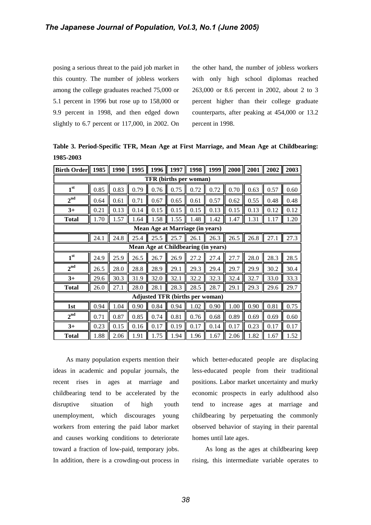posing a serious threat to the paid job market in this country. The number of jobless workers among the college graduates reached 75,000 or 5.1 percent in 1996 but rose up to 158,000 or 9.9 percent in 1998, and then edged down slightly to 6.7 percent or 117,000, in 2002. On the other hand, the number of jobless workers with only high school diplomas reached 263,000 or 8.6 percent in 2002, about 2 to 3 percent higher than their college graduate counterparts, after peaking at 454,000 or 13.2 percent in 1998.

**Table 3. Period-Specific TFR, Mean Age at First Marriage, and Mean Age at Childbearing: 1985-2003**

| Birth Order   $1985$                   |      | 1990 | 1995 | 1996 | 1997 | 1998 | 1999 |      | $2000$   2001 | 2002 | 2003 |  |
|----------------------------------------|------|------|------|------|------|------|------|------|---------------|------|------|--|
| TFR (births per woman)                 |      |      |      |      |      |      |      |      |               |      |      |  |
| 1 <sup>st</sup>                        | 0.85 | 0.83 | 0.79 | 0.76 | 0.75 | 0.72 | 0.72 | 0.70 | 0.63          | 0.57 | 0.60 |  |
| $2^{\mathrm{nd}}$                      | 0.64 | 0.61 | 0.71 | 0.67 | 0.65 | 0.61 | 0.57 | 0.62 | 0.55          | 0.48 | 0.48 |  |
| $3+$                                   | 0.21 | 0.13 | 0.14 | 0.15 | 0.15 | 0.15 | 0.13 | 0.15 | 0.13          | 0.12 | 0.12 |  |
| <b>Total</b>                           | 1.70 | 1.57 | 1.64 | 1.58 | 1.55 | 1.48 | 1.42 | 1.47 | 1.31          | 1.17 | 1.20 |  |
| Mean Age at Marriage (in years)        |      |      |      |      |      |      |      |      |               |      |      |  |
|                                        | 24.1 | 24.8 | 25.4 | 25.5 | 25.7 | 26.1 | 26.3 | 26.5 | 26.8          | 27.1 | 27.3 |  |
| Mean Age at Childbearing (in years)    |      |      |      |      |      |      |      |      |               |      |      |  |
| 1 <sup>st</sup>                        | 24.9 | 25.9 | 26.5 | 26.7 | 26.9 | 27.2 | 27.4 | 27.7 | 28.0          | 28.3 | 28.5 |  |
| $2^{nd}$                               | 26.5 | 28.0 | 28.8 | 28.9 | 29.1 | 29.3 | 29.4 | 29.7 | 29.9          | 30.2 | 30.4 |  |
| $3+$                                   | 29.6 | 30.3 | 31.9 | 32.0 | 32.1 | 32.2 | 32.3 | 32.4 | 32.7          | 33.0 | 33.3 |  |
| <b>Total</b>                           | 26.0 | 27.1 | 28.0 | 28.1 | 28.3 | 28.5 | 28.7 | 29.1 | 29.3          | 29.6 | 29.7 |  |
| <b>Adjusted TFR (births per woman)</b> |      |      |      |      |      |      |      |      |               |      |      |  |
| 1st                                    | 0.94 | 1.04 | 0.90 | 0.84 | 0.94 | 1.02 | 0.90 | 1.00 | 0.90          | 0.81 | 0.75 |  |
| 2 <sup>nd</sup>                        | 0.71 | 0.87 | 0.85 | 0.74 | 0.81 | 0.76 | 0.68 | 0.89 | 0.69          | 0.69 | 0.60 |  |
| $3+$                                   | 0.23 | 0.15 | 0.16 | 0.17 | 0.19 | 0.17 | 0.14 | 0.17 | 0.23          | 0.17 | 0.17 |  |
| <b>Total</b>                           | 1.88 | 2.06 | 1.91 | 1.75 | 1.94 | 1.96 | 1.67 | 2.06 | 1.82          | 1.67 | 1.52 |  |

As many population experts mention their ideas in academic and popular journals, the recent rises in ages at marriage and childbearing tend to be accelerated by the disruptive situation of high youth unemployment, which discourages young workers from entering the paid labor market and causes working conditions to deteriorate toward a fraction of low-paid, temporary jobs. In addition, there is a crowding-out process in

which better-educated people are displacing less-educated people from their traditional positions. Labor market uncertainty and murky economic prospects in early adulthood also tend to increase ages at marriage and childbearing by perpetuating the commonly observed behavior of staying in their parental homes until late ages.

As long as the ages at childbearing keep rising, this intermediate variable operates to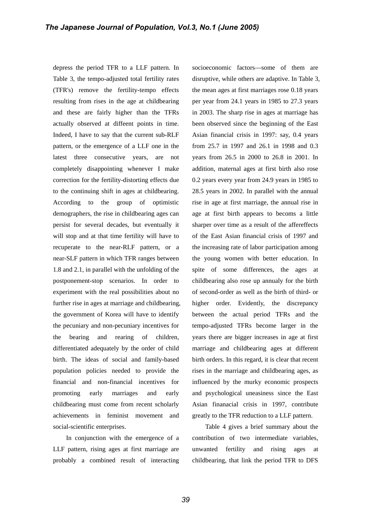depress the period TFR to a LLF pattern. In Table 3, the tempo-adjusted total fertility rates (TFR's) remove the fertility-tempo effects resulting from rises in the age at childbearing and these are fairly higher than the TFRs actually observed at diffeent points in time. Indeed, I have to say that the current sub-RLF pattern, or the emergence of a LLF one in the latest three consecutive years, are not completely disappointing whenever I make correction for the fertility-distorting effects due to the continuing shift in ages at childbearing. According to the group of optimistic demographers, the rise in childbearing ages can persist for several decades, but eventually it will stop and at that time fertility will have to recuperate to the near-RLF pattern, or a near-SLF pattern in which TFR ranges between 1.8 and 2.1, in parallel with the unfolding of the postponement-stop scenarios. In order to experiment with the real possibilities about no further rise in ages at marriage and childbearing, the government of Korea will have to identify the pecuniary and non-pecuniary incentives for the bearing and rearing of children, differentiated adequately by the order of child birth. The ideas of social and family-based population policies needed to provide the financial and non-financial incentives for promoting early marriages and early childbearing must come from recent scholarly achievements in feminist movement and social-scientific enterprises.

In conjunction with the emergence of a LLF pattern, rising ages at first marriage are probably a combined result of interacting socioeconomic factors—some of them are disruptive, while others are adaptive. In Table 3, the mean ages at first marriages rose 0.18 years per year from 24.1 years in 1985 to 27.3 years in 2003. The sharp rise in ages at marriage has been observed since the beginning of the East Asian financial crisis in 1997: say, 0.4 years from 25.7 in 1997 and 26.1 in 1998 and 0.3 years from 26.5 in 2000 to 26.8 in 2001. In addition, maternal ages at first birth also rose 0.2 years every year from 24.9 years in 1985 to 28.5 years in 2002. In parallel with the annual rise in age at first marriage, the annual rise in age at first birth appears to becoms a little sharper over time as a result of the affereffects of the East Asian financial crisis of 1997 and the increasing rate of labor participation among the young women with better education. In spite of some differences, the ages at childbearing also rose up annualy for the birth of second-order as well as the birth of third- or higher order. Evidently, the discrepancy between the actual period TFRs and the tempo-adjusted TFRs become larger in the years there are bigger increases in age at first marriage and childbearing ages at different birth orders. In this regard, it is clear that recent rises in the marriage and childbearing ages, as influenced by the murky economic prospects and psychological uneasiness since the East Asian finanacial crisis in 1997, contribute greatly to the TFR reduction to a LLF pattern.

Table 4 gives a brief summary about the contribution of two intermediate variables, unwanted fertility and rising ages at childbearing, that link the period TFR to DFS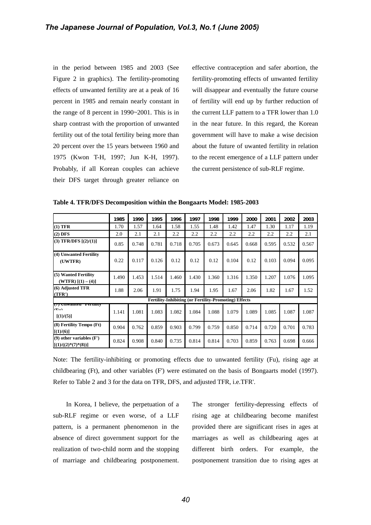in the period between 1985 and 2003 (See Figure 2 in graphics). The fertility-promoting effects of unwanted fertility are at a peak of 16 percent in 1985 and remain nearly constant in the range of 8 percent in 1990~2001. This is in sharp contrast with the proportion of unwanted fertility out of the total fertility being more than 20 percent over the 15 years between 1960 and 1975 (Kwon T-H, 1997; Jun K-H, 1997). Probably, if all Korean couples can achieve their DFS target through greater reliance on

effective contraception and safer abortion, the fertility-promoting effects of unwanted fertility will disappear and eventually the future course of fertility will end up by further reduction of the current LLF pattern to a TFR lower than 1.0 in the near future. In this regard, the Korean government will have to make a wise decision about the future of uwanted fertility in relation to the recent emergence of a LLF pattern under the current persistence of sub-RLF regime.

|                                                             | 1985  | 1990  | 1995  | 1996                                                         | 1997  | 1998  | 1999  | 2000  | 2001  | 2002  | 2003  |
|-------------------------------------------------------------|-------|-------|-------|--------------------------------------------------------------|-------|-------|-------|-------|-------|-------|-------|
| $(1)$ TFR                                                   | 1.70  | 1.57  | 1.64  | 1.58                                                         | 1.55  | 1.48  | 1.42  | 1.47  | 1.30  | 1.17  | 1.19  |
| $(2)$ DFS                                                   | 2.0   | 2.1   | 2.1   | 2.2                                                          | 2.2   | 2.2   | 2.2   | 2.2   | 2.2   | 2.2   | 2.1   |
| $(3)$ TFR/DFS $[(2)/(1)]$                                   | 0.85  | 0.748 | 0.781 | 0.718                                                        | 0.705 | 0.673 | 0.645 | 0.668 | 0.595 | 0.532 | 0.567 |
| (4) Unwanted Fertility<br>(UWTFR)                           | 0.22  | 0.117 | 0.126 | 0.12                                                         | 0.12  | 0.12  | 0.104 | 0.12  | 0.103 | 0.094 | 0.095 |
| (5) Wanted Fertility<br>(WTFR) $[(1) - (4)]$                | 1.490 | 1.453 | 1.514 | 1.460                                                        | 1.430 | 1.360 | 1.316 | 1.350 | 1.207 | 1.076 | 1.095 |
| (6) Adjusted TFR<br>(TFR')                                  | 1.88  | 2.06  | 1.91  | 1.75                                                         | 1.94  | 1.95  | 1.67  | 2.06  | 1.82  | 1.67  | 1.52  |
|                                                             |       |       |       | <b>Fertility-Inhibiting (or Fertility-Promoting) Effects</b> |       |       |       |       |       |       |       |
| <u>(7) онуанса гегин</u> іў<br>$(T_{\rm tot})$<br>[(1)/(5)] | 1.141 | 1.081 | 1.083 | 1.082                                                        | 1.084 | 1.088 | 1.079 | 1.089 | 1.085 | 1.087 | 1.087 |
| (8) Fertility Tempo (Ft)<br>[(1)/(6)]                       | 0.904 | 0.762 | 0.859 | 0.903                                                        | 0.799 | 0.759 | 0.850 | 0.714 | 0.720 | 0.701 | 0.783 |
| $(9)$ other variables $(F')$<br>$[(1)/((2)*(7)*(8))]$       | 0.824 | 0.908 | 0.840 | 0.735                                                        | 0.814 | 0.814 | 0.703 | 0.859 | 0.763 | 0.698 | 0.666 |

**Table 4. TFR/DFS Decomposition within the Bongaarts Model: 1985-2003**

Note: The fertility-inhibiting or promoting effects due to unwanted fertility (Fu), rising age at childbearing (Ft), and other variables (F') were estimated on the basis of Bongaarts model (1997). Refer to Table 2 and 3 for the data on TFR, DFS, and adjusted TFR, i.e.TFR'.

In Korea, I believe, the perpetuation of a sub-RLF regime or even worse, of a LLF pattern, is a permanent phenomenon in the absence of direct government support for the realization of two-child norm and the stopping of marriage and childbearing postponement.

The stronger fertility-depressing effects of rising age at childbearing become manifest provided there are significant rises in ages at marriages as well as childbearing ages at different birth orders. For example, the postponement transition due to rising ages at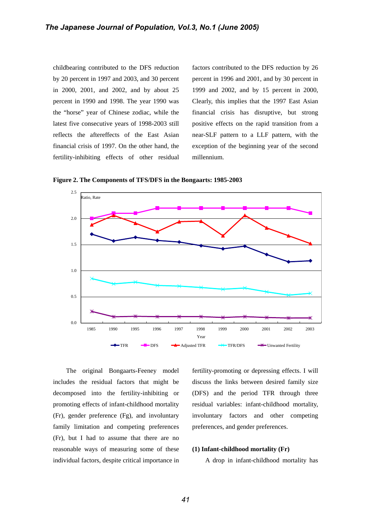childbearing contributed to the DFS reduction by 20 percent in 1997 and 2003, and 30 percent in 2000, 2001, and 2002, and by about 25 percent in 1990 and 1998. The year 1990 was the "horse" year of Chinese zodiac, while the latest five consecutive years of 1998-2003 still reflects the aftereffects of the East Asian financial crisis of 1997. On the other hand, the fertility-inhibiting effects of other residual

factors contributed to the DFS reduction by 26 percent in 1996 and 2001, and by 30 percent in 1999 and 2002, and by 15 percent in 2000, Clearly, this implies that the 1997 East Asian financial crisis has disruptive, but strong positive effects on the rapid transition from a near-SLF pattern to a LLF pattern, with the exception of the beginning year of the second millennium.

**Figure 2. The Components of TFS/DFS in the Bongaarts: 1985-2003**



The original Bongaarts-Feeney model includes the residual factors that might be decomposed into the fertility-inhibiting or promoting effects of infant-childhood mortality (Fr), gender preference (Fg), and involuntary family limitation and competing preferences (Fr), but I had to assume that there are no reasonable ways of measuring some of these individual factors, despite critical importance in

fertility-promoting or depressing effects. I will discuss the links between desired family size (DFS) and the period TFR through three residual variables: infant-childhood mortality, involuntary factors and other competing preferences, and gender preferences.

# **(1) Infant-childhood mortality (Fr)**

A drop in infant-childhood mortality has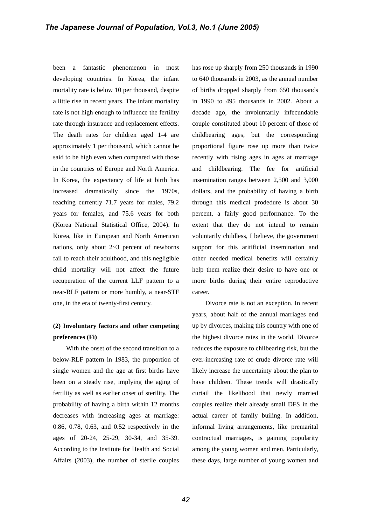been a fantastic phenomenon in most developing countries. In Korea, the infant mortality rate is below 10 per thousand, despite a little rise in recent years. The infant mortality rate is not high enough to influence the fertility rate through insurance and replacement effects. The death rates for children aged 1-4 are approximately 1 per thousand, which cannot be said to be high even when compared with those in the countries of Europe and North America. In Korea, the expectancy of life at birth has increased dramatically since the 1970s, reaching currently 71.7 years for males, 79.2 years for females, and 75.6 years for both (Korea National Statistical Office, 2004). In Korea, like in European and North American nations, only about  $2\neg 3$  percent of newborns fail to reach their adulthood, and this negligible child mortality will not affect the future recuperation of the current LLF pattern to a near-RLF pattern or more humbly, a near-STF one, in the era of twenty-first century.

# **(2) Involuntary factors and other competing preferences (Fi)**

With the onset of the second transition to a below-RLF pattern in 1983, the proportion of single women and the age at first births have been on a steady rise, implying the aging of fertility as well as earlier onset of sterility. The probability of having a birth within 12 months decreases with increasing ages at marriage: 0.86, 0.78, 0.63, and 0.52 respectively in the ages of 20-24, 25-29, 30-34, and 35-39. According to the Institute for Health and Social Affairs (2003), the number of sterile couples has rose up sharply from 250 thousands in 1990 to 640 thousands in 2003, as the annual number of births dropped sharply from 650 thousands in 1990 to 495 thousands in 2002. About a decade ago, the involuntarily infecundable couple constituted about 10 percent of those of childbearing ages, but the corresponding proportional figure rose up more than twice recently with rising ages in ages at marriage and childbearing. The fee for artificial insemination ranges between 2,500 and 3,000 dollars, and the probability of having a birth through this medical prodedure is about 30 percent, a fairly good performance. To the extent that they do not intend to remain voluntarily childless, I believe, the government support for this aritificial insemination and other needed medical benefits will certainly help them realize their desire to have one or more births during their entire reproductive career.

Divorce rate is not an exception. In recent years, about half of the annual marriages end up by divorces, making this country with one of the highest divorce rates in the world. Divorce reduces the exposure to chilbearing risk, but the ever-increasing rate of crude divorce rate will likely increase the uncertainty about the plan to have children. These trends will drastically curtail the likelihood that newly married couples realize their already small DFS in the actual career of family builing. In addition, informal living arrangements, like premarital contractual marriages, is gaining popularity among the young women and men. Particularly, these days, large number of young women and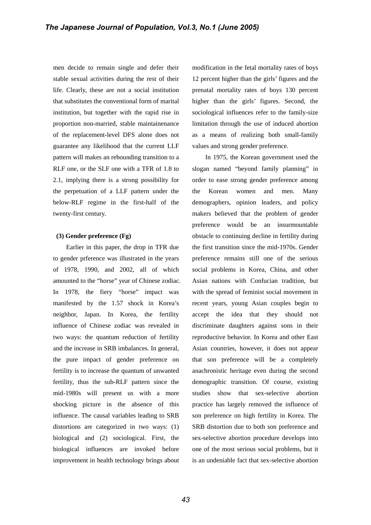men decide to remain single and defer their stable sexual activities during the rest of their life. Clearly, these are not a social institution that substitutes the conventional form of marital institution, but together with the rapid rise in proportion non-married, stable maintainenance of the replacement-level DFS alone does not guarantee any likelihood that the current LLF pattern will makes an rebounding transition to a RLF one, or the SLF one with a TFR of 1.8 to 2.1, implying there is a strong possibility for the perpetuation of a LLF pattern under the below-RLF regime in the first-half of the twenty-first century.

# **(3) Gender preference (Fg)**

Earlier in this paper, the drop in TFR due to gender prference was illustrated in the years of 1978, 1990, and 2002, all of which amounted to the "horse" year of Chinese zodiac. In 1978, the fiery "horse" impact was manifested by the 1.57 shock in Korea's neighbor, Japan. In Korea, the fertility influence of Chinese zodiac was revealed in two ways: the quantum reduction of fertility and the increase in SRB imbalances. In general, the pure impact of gender preference on fertility is to increase the quantum of unwanted fertility, thus the sub-RLF pattern since the mid-1980s will present us with a more shocking picture in the absence of this influence. The causal variables leading to SRB distortions are categorized in two ways: (1) biological and (2) sociological. First, the biological influences are invoked before improvement in health technology brings about

modification in the fetal mortality rates of boys 12 percent higher than the girls' figures and the prenatal mortality rates of boys 130 percent higher than the girls' figures. Second, the sociological influences refer to the family-size limitation through the use of induced abortion as a means of realizing both small-family values and strong gender preference.

In 1975, the Korean government used the slogan named "beyond family planning" in order to ease strong gender preference among the Korean women and men. Many demographers, opinion leaders, and policy makers believed that the problem of gender preference would be an insurmountable obstacle to continuing decline in fertility during the first transition since the mid-1970s. Gender preference remains still one of the serious social problems in Korea, China, and other Asian nations with Confucian tradition, but with the spread of feminist social movement in recent years, young Asian couples begin to accept the idea that they should not discriminate daughters against sons in their reproductive behavior. In Korea and other East Asian countries, however, it does not appear that son preference will be a completely anachronistic heritage even during the second demographic transition. Of course, existing studies show that sex-selective abortion practice has largely removed the influence of son preference on high fertility in Korea. The SRB distortion due to both son preference and sex-selective abortion procedure develops into one of the most serious social problems, but it is an undeniable fact that sex-selective abortion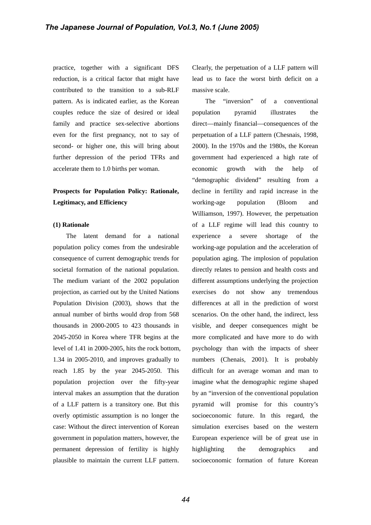practice, together with a significant DFS reduction, is a critical factor that might have contributed to the transition to a sub-RLF pattern. As is indicated earlier, as the Korean couples reduce the size of desired or ideal family and practice sex-selective abortions even for the first pregnancy, not to say of second- or higher one, this will bring about further depression of the period TFRs and accelerate them to 1.0 births per woman.

# **Prospects for Population Policy: Rationale, Legitimacy, and Efficiency**

#### **(1) Rationale**

The latent demand for a national population policy comes from the undesirable consequence of current demographic trends for societal formation of the national population. The medium variant of the 2002 population projection, as carried out by the United Nations Population Division (2003), shows that the annual number of births would drop from 568 thousands in 2000-2005 to 423 thousands in 2045-2050 in Korea where TFR begins at the level of 1.41 in 2000-2005, hits the rock bottom, 1.34 in 2005-2010, and improves gradually to reach 1.85 by the year 2045-2050. This population projection over the fifty-year interval makes an assumption that the duration of a LLF pattern is a transitory one. But this overly optimistic assumption is no longer the case: Without the direct intervention of Korean government in population matters, however, the permanent depression of fertility is highly plausible to maintain the current LLF pattern.

Clearly, the perpetuation of a LLF pattern will lead us to face the worst birth deficit on a massive scale.

The "inversion" of a conventional population pyramid illustrates the direct—mainly financial—consequences of the perpetuation of a LLF pattern (Chesnais, 1998, 2000). In the 1970s and the 1980s, the Korean government had experienced a high rate of economic growth with the help of "demographic dividend" resulting from a decline in fertility and rapid increase in the working-age population (Bloom and Williamson, 1997). However, the perpetuation of a LLF regime will lead this country to experience a severe shortage of the working-age population and the acceleration of population aging. The implosion of population directly relates to pension and health costs and different assumptions underlying the projection exercises do not show any tremendous differences at all in the prediction of worst scenarios. On the other hand, the indirect, less visible, and deeper consequences might be more complicated and have more to do with psychology than with the impacts of sheer numbers (Chenais, 2001). It is probably difficult for an average woman and man to imagine what the demographic regime shaped by an "inversion of the conventional population pyramid will promise for this country's socioeconomic future. In this regard, the simulation exercises based on the western European experience will be of great use in highlighting the demographics and socioeconomic formation of future Korean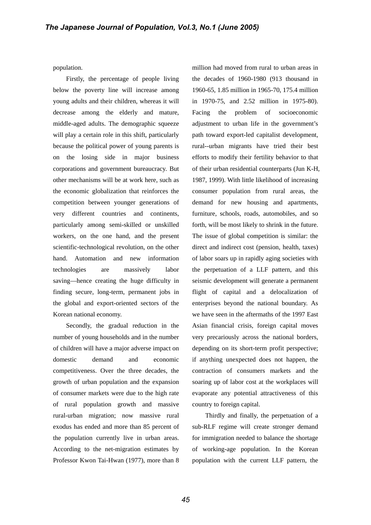population.

Firstly, the percentage of people living below the poverty line will increase among young adults and their children, whereas it will decrease among the elderly and mature, middle-aged adults. The demographic squeeze will play a certain role in this shift, particularly because the political power of young parents is on the losing side in major business corporations and government bureaucracy. But other mechanisms will be at work here, such as the economic globalization that reinforces the competition between younger generations of very different countries and continents, particularly among semi-skilled or unskilled workers, on the one hand, and the present scientific-technological revolution, on the other hand. Automation and new information technologies are massively labor saving—hence creating the huge difficulty in finding secure, long-term, permanent jobs in the global and export-oriented sectors of the Korean national economy.

Secondly, the gradual reduction in the number of young households and in the number of children will have a major adverse impact on domestic demand and economic competitiveness. Over the three decades, the growth of urban population and the expansion of consumer markets were due to the high rate of rural population growth and massive rural-urban migration; now massive rural exodus has ended and more than 85 percent of the population currently live in urban areas. According to the net-migration estimates by Professor Kwon Tai-Hwan (1977), more than 8

million had moved from rural to urban areas in the decades of 1960-1980 (913 thousand in 1960-65, 1.85 million in 1965-70, 175.4 million in 1970-75, and 2.52 million in 1975-80). Facing the problem of socioeconomic adjustment to urban life in the government's path toward export-led capitalist development, rural--urban migrants have tried their best efforts to modify their fertility behavior to that of their urban residential counterparts (Jun K-H, 1987, 1999). With little likelihood of increasing consumer population from rural areas, the demand for new housing and apartments, furniture, schools, roads, automobiles, and so forth, will be most likely to shrink in the future. The issue of global competition is similar: the direct and indirect cost (pension, health, taxes) of labor soars up in rapidly aging societies with the perpetuation of a LLF pattern, and this seismic development will generate a permanent flight of capital and a delocalization of enterprises beyond the national boundary. As we have seen in the aftermaths of the 1997 East Asian financial crisis, foreign capital moves very precariously across the national borders, depending on its short-term profit perspective; if anything unexpected does not happen, the contraction of consumers markets and the soaring up of labor cost at the workplaces will evaporate any potential attractiveness of this country to foreign capital.

Thirdly and finally, the perpetuation of a sub-RLF regime will create stronger demand for immigration needed to balance the shortage of working-age population. In the Korean population with the current LLF pattern, the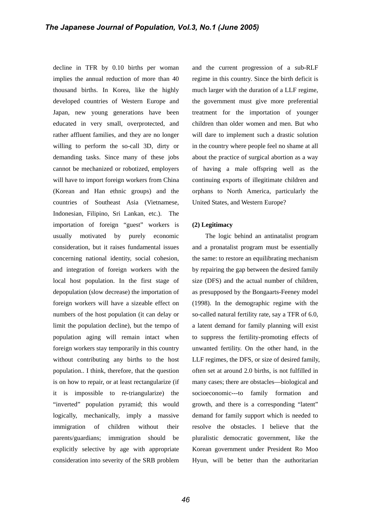decline in TFR by 0.10 births per woman implies the annual reduction of more than 40 thousand births. In Korea, like the highly developed countries of Western Europe and Japan, new young generations have been educated in very small, overprotected, and rather affluent families, and they are no longer willing to perform the so-call 3D, dirty or demanding tasks. Since many of these jobs cannot be mechanized or robotized, employers will have to import foreign workers from China (Korean and Han ethnic groups) and the countries of Southeast Asia (Vietnamese, Indonesian, Filipino, Sri Lankan, etc.). The importation of foreign "guest" workers is usually motivated by purely economic consideration, but it raises fundamental issues concerning national identity, social cohesion, and integration of foreign workers with the local host population. In the first stage of depopulation (slow decrease) the importation of foreign workers will have a sizeable effect on numbers of the host population (it can delay or limit the population decline), but the tempo of population aging will remain intact when foreign workers stay temporarily in this country without contributing any births to the host population.. I think, therefore, that the question is on how to repair, or at least rectangularize (if it is impossible to re-triangularize) the "inverted" population pyramid; this would logically, mechanically, imply a massive immigration of children without their parents/guardians; immigration should be explicitly selective by age with appropriate consideration into severity of the SRB problem and the current progression of a sub-RLF regime in this country. Since the birth deficit is much larger with the duration of a LLF regime, the government must give more preferential treatment for the importation of younger children than older women and men. But who will dare to implement such a drastic solution in the country where people feel no shame at all about the practice of surgical abortion as a way of having a male offspring well as the continuing exports of illegitimate children and orphans to North America, particularly the United States, and Western Europe?

#### **(2) Legitimacy**

The logic behind an antinatalist program and a pronatalist program must be essentially the same: to restore an equilibrating mechanism by repairing the gap between the desired family size (DFS) and the actual number of children, as presupposed by the Bongaarts-Feeney model (1998). In the demographic regime with the so-called natural fertility rate, say a TFR of 6.0, a latent demand for family planning will exist to suppress the fertility-promoting effects of unwanted fertility. On the other hand, in the LLF regimes, the DFS, or size of desired family, often set at around 2.0 births, is not fulfilled in many cases; there are obstacles—biological and socioeconomic---to family formation and growth, and there is a corresponding "latent" demand for family support which is needed to resolve the obstacles. I believe that the pluralistic democratic government, like the Korean government under President Ro Moo Hyun, will be better than the authoritarian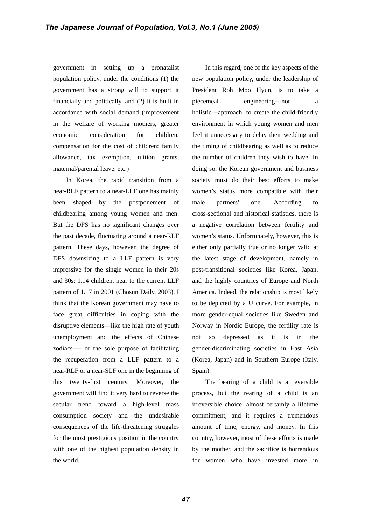government in setting up a pronatalist population policy, under the conditions (1) the government has a strong will to support it financially and politically, and (2) it is built in accordance with social demand (improvement in the welfare of working mothers, greater economic consideration for children, compensation for the cost of children: family allowance, tax exemption, tuition grants, maternal/parental leave, etc.)

In Korea, the rapid transition from a near-RLF pattern to a near-LLF one has mainly been shaped by the postponement of childbearing among young women and men. But the DFS has no significant changes over the past decade, fluctuating around a near-RLF pattern. These days, however, the degree of DFS downsizing to a LLF pattern is very impressive for the single women in their 20s and 30s: 1.14 children, near to the current LLF pattern of 1.17 in 2001 (Chosun Daily, 2003). I think that the Korean government may have to face great difficulties in coping with the disruptive elements—like the high rate of youth unemployment and the effects of Chinese zodiacs---- or the sole purpose of facilitating the recuperation from a LLF pattern to a near-RLF or a near-SLF one in the beginning of this twenty-first century. Moreover, the government will find it very hard to reverse the secular trend toward a high-level mass consumption society and the undesirable consequences of the life-threatening struggles for the most prestigious position in the country with one of the highest population density in the world.

In this regard, one of the key aspects of the new population policy, under the leadership of President Roh Moo Hyun, is to take a piecemeal engineering---not a holistic---approach: to create the child-friendly environment in which young women and men feel it unnecessary to delay their wedding and the timing of childbearing as well as to reduce the number of children they wish to have. In doing so, the Korean government and business society must do their best efforts to make women's status more compatible with their male partners' one. According to cross-sectional and historical statistics, there is a negative correlation between fertility and women's status. Unfortunately, however, this is either only partially true or no longer valid at the latest stage of development, namely in post-transitional societies like Korea, Japan, and the highly countries of Europe and North America. Indeed, the relationship is most likely to be depicted by a U curve. For example, in more gender-equal societies like Sweden and Norway in Nordic Europe, the fertility rate is not so depressed as it is in the gender-discriminating societies in East Asia (Korea, Japan) and in Southern Europe (Italy, Spain).

The bearing of a child is a reversible process, but the rearing of a child is an irreversible choice, almost certainly a lifetime commitment, and it requires a tremendous amount of time, energy, and money. In this country, however, most of these efforts is made by the mother, and the sacrifice is horrendous for women who have invested more in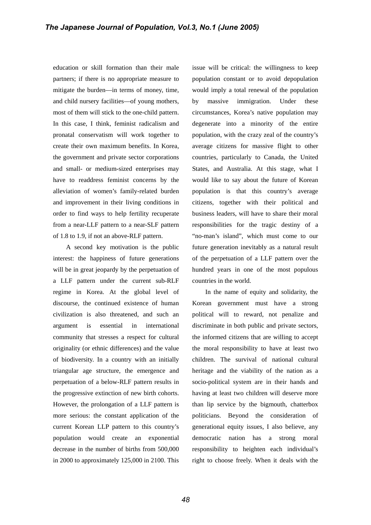education or skill formation than their male partners; if there is no appropriate measure to mitigate the burden—in terms of money, time, and child nursery facilities—of young mothers, most of them will stick to the one-child pattern. In this case, I think, feminist radicalism and pronatal conservatism will work together to create their own maximum benefits. In Korea, the government and private sector corporations and small- or medium-sized enterprises may have to readdress feminist concerns by the alleviation of women's family-related burden and improvement in their living conditions in order to find ways to help fertility recuperate from a near-LLF pattern to a near-SLF pattern of 1.8 to 1.9, if not an above-RLF pattern.

A second key motivation is the public interest: the happiness of future generations will be in great jeopardy by the perpetuation of a LLF pattern under the current sub-RLF regime in Korea. At the global level of discourse, the continued existence of human civilization is also threatened, and such an argument is essential in international community that stresses a respect for cultural originality (or ethnic differences) and the value of biodiversity. In a country with an initially triangular age structure, the emergence and perpetuation of a below-RLF pattern results in the progressive extinction of new birth cohorts. However, the prolongation of a LLF pattern is more serious: the constant application of the current Korean LLP pattern to this country's population would create an exponential decrease in the number of births from 500,000 in 2000 to approximately 125,000 in 2100. This issue will be critical: the willingness to keep population constant or to avoid depopulation would imply a total renewal of the population by massive immigration. Under these circumstances, Korea's native population may degenerate into a minority of the entire population, with the crazy zeal of the country's average citizens for massive flight to other countries, particularly to Canada, the United States, and Australia. At this stage, what I would like to say about the future of Korean population is that this country's average citizens, together with their political and business leaders, will have to share their moral responsibilities for the tragic destiny of a "no-man's island", which must come to our future generation inevitably as a natural result of the perpetuation of a LLF pattern over the hundred years in one of the most populous countries in the world.

In the name of equity and solidarity, the Korean government must have a strong political will to reward, not penalize and discriminate in both public and private sectors, the informed citizens that are willing to accept the moral responsibility to have at least two children. The survival of national cultural heritage and the viability of the nation as a socio-political system are in their hands and having at least two children will deserve more than lip service by the bigmouth, chatterbox politicians. Beyond the consideration of generational equity issues, I also believe, any democratic nation has a strong moral responsibility to heighten each individual's right to choose freely. When it deals with the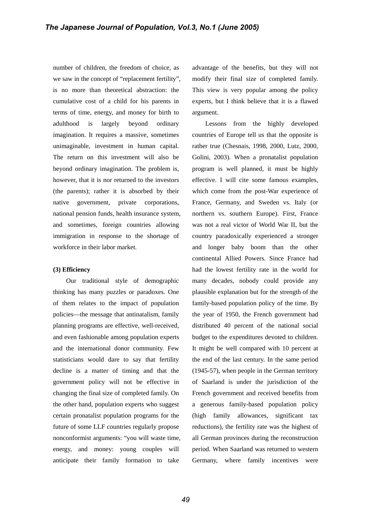number of children, the freedom of choice, as we saw in the concept of "replacement fertility", is no more than theoretical abstraction: the cumulative cost of a child for his parents in terms of time, energy, and money for birth to adulthood is largely beyond ordinary imagination. It requires a massive, sometimes unimaginable, investment in human capital. The return on this investment will also be beyond ordinary imagination. The problem is, however, that it is nor returned to the investors (the parents); rather it is absorbed by their native government, private corporations, national pension funds, health insurance system, and sometimes, foreign countries allowing immigration in response to the shortage of workforce in their labor market.

# **(3) Efficiency**

Our traditional style of demographic thinking has many puzzles or paradoxes. One of them relates to the impact of population policies—the message that antinatalism, family planning programs are effective, well-received, and even fashionable among population experts and the international donor community. Few statisticians would dare to say that fertility decline is a matter of timing and that the government policy will not be effective in changing the final size of completed family. On the other hand, population experts who suggest certain pronatalist population programs for the future of some LLF countries regularly propose nonconformist arguments: "you will waste time, energy, and money: young couples will anticipate their family formation to take

advantage of the benefits, but they will not modify their final size of completed family. This view is very popular among the policy experts, but I think believe that it is a flawed argument.

Lessons from the highly developed countries of Europe tell us that the opposite is rather true (Chesnais, 1998, 2000, Lutz, 2000, Golini, 2003). When a pronatalist population program is well planned, it must be highly effective. I will cite some famous examples, which come from the post-War experience of France, Germany, and Sweden vs. Italy (or northern vs. southern Europe). First, France was not a real victor of World War II, but the country paradoxically experienced a stronger and longer baby boom than the other continental Allied Powers. Since France had had the lowest fertility rate in the world for many decades, nobody could provide any plausible explanation but for the strength of the family-based population policy of the time. By the year of 1950, the French government had distributed 40 percent of the national social budget to the expenditures devoted to children. It might be well compared with 10 percent at the end of the last century. In the same period (1945-57), when people in the German territory of Saarland is under the jurisdiction of the French government and received benefits from a generous family-based population policy (high family allowances, significant tax reductions), the fertility rate was the highest of all German provinces during the reconstruction period. When Saarland was returned to western Germany, where family incentives were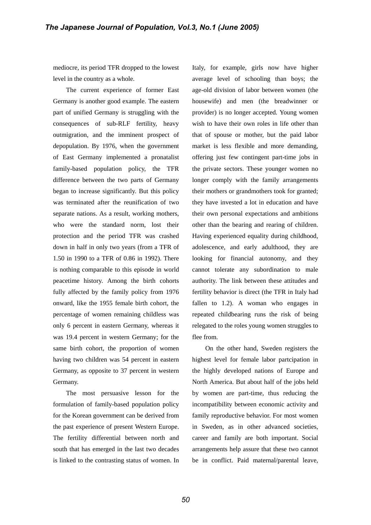mediocre, its period TFR dropped to the lowest level in the country as a whole.

The current experience of former East Germany is another good example. The eastern part of unified Germany is struggling with the consequences of sub-RLF fertility, heavy outmigration, and the imminent prospect of depopulation. By 1976, when the government of East Germany implemented a pronatalist family-based population policy, the TFR difference between the two parts of Germany began to increase significantly. But this policy was terminated after the reunification of two separate nations. As a result, working mothers, who were the standard norm, lost their protection and the period TFR was crashed down in half in only two years (from a TFR of 1.50 in 1990 to a TFR of 0.86 in 1992). There is nothing comparable to this episode in world peacetime history. Among the birth cohorts fully affected by the family policy from 1976 onward, like the 1955 female birth cohort, the percentage of women remaining childless was only 6 percent in eastern Germany, whereas it was 19.4 percent in western Germany; for the same birth cohort, the proportion of women having two children was 54 percent in eastern Germany, as opposite to 37 percent in western Germany.

The most persuasive lesson for the formulation of family-based population policy for the Korean government can be derived from the past experience of present Western Europe. The fertility differential between north and south that has emerged in the last two decades is linked to the contrasting status of women. In Italy, for example, girls now have higher average level of schooling than boys; the age-old division of labor between women (the housewife) and men (the breadwinner or provider) is no longer accepted. Young women wish to have their own roles in life other than that of spouse or mother, but the paid labor market is less flexible and more demanding, offering just few contingent part-time jobs in the private sectors. These younger women no longer comply with the family arrangements their mothers or grandmothers took for granted; they have invested a lot in education and have their own personal expectations and ambitions other than the bearing and rearing of children. Having experienced equality during childhood, adolescence, and early adulthood, they are looking for financial autonomy, and they cannot tolerate any subordination to male authority. The link between these attitudes and fertility behavior is direct (the TFR in Italy had fallen to 1.2). A woman who engages in repeated childbearing runs the risk of being relegated to the roles young women struggles to flee from.

On the other hand, Sweden registers the highest level for female labor partcipation in the highly developed nations of Europe and North America. But about half of the jobs held by women are part-time, thus reducing the incompatibility between economic activity and family reproductive behavior. For most women in Sweden, as in other advanced societies, career and family are both important. Social arrangements help assure that these two cannot be in conflict. Paid maternal/parental leave,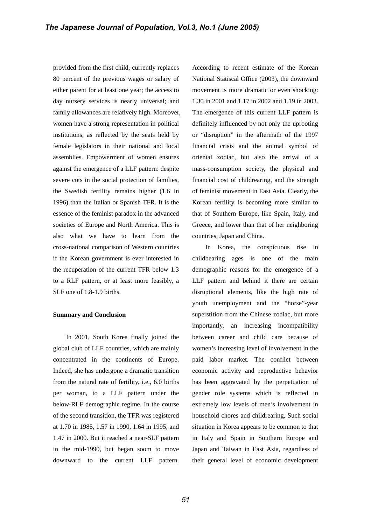provided from the first child, currently replaces 80 percent of the previous wages or salary of either parent for at least one year; the access to day nursery services is nearly universal; and family allowances are relatively high. Moreover, women have a strong representation in political institutions, as reflected by the seats held by female legislators in their national and local assemblies. Empowerment of women ensures against the emergence of a LLF pattern: despite severe cuts in the social protection of families, the Swedish fertility remains higher (1.6 in 1996) than the Italian or Spanish TFR. It is the essence of the feminist paradox in the advanced societies of Europe and North America. This is also what we have to learn from the cross-national comparison of Western countries if the Korean government is ever interested in the recuperation of the current TFR below 1.3 to a RLF pattern, or at least more feasibly, a SLF one of 1.8-1.9 births.

# **Summary and Conclusion**

In 2001, South Korea finally joined the global club of LLF countries, which are mainly concentrated in the continents of Europe. Indeed, she has undergone a dramatic transition from the natural rate of fertility, i.e., 6.0 births per woman, to a LLF pattern under the below-RLF demographic regime. In the course of the second transition, the TFR was registered at 1.70 in 1985, 1.57 in 1990, 1.64 in 1995, and 1.47 in 2000. But it reached a near-SLF pattern in the mid-1990, but began soom to move downward to the current LLF pattern.

According to recent estimate of the Korean National Statiscal Office (2003), the downward movement is more dramatic or even shocking: 1.30 in 2001 and 1.17 in 2002 and 1.19 in 2003. The emergence of this current LLF pattern is definitely influenced by not only the uprooting or "disruption" in the aftermath of the 1997 financial crisis and the animal symbol of oriental zodiac, but also the arrival of a mass-consumption society, the physical and financial cost of childrearing, and the strength of feminist movement in East Asia. Clearly, the Korean fertility is becoming more similar to that of Southern Europe, like Spain, Italy, and Greece, and lower than that of her neighboring countries, Japan and China.

In Korea, the conspicuous rise in childbearing ages is one of the main demographic reasons for the emergence of a LLF pattern and behind it there are certain disruptional elements, like the high rate of youth unemployment and the "horse"-year superstition from the Chinese zodiac, but more importantly, an increasing incompatibility between career and child care because of women's increasing level of involvement in the paid labor market. The conflict between economic activity and reproductive behavior has been aggravated by the perpetuation of gender role systems which is reflected in extremely low levels of men's involvement in household chores and childrearing. Such social situation in Korea appears to be common to that in Italy and Spain in Southern Europe and Japan and Taiwan in East Asia, regardless of their general level of economic development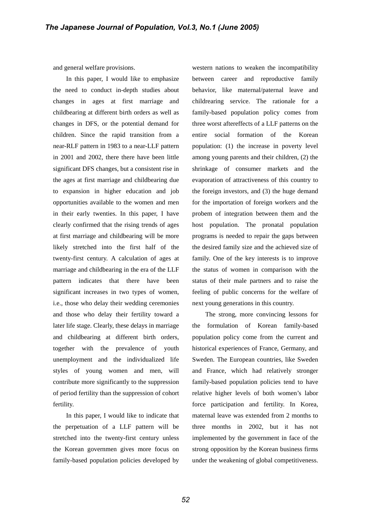and general welfare provisions.

In this paper, I would like to emphasize the need to conduct in-depth studies about changes in ages at first marriage and childbearing at different birth orders as well as changes in DFS, or the potential demand for children. Since the rapid transition from a near-RLF pattern in 1983 to a near-LLF pattern in 2001 and 2002, there there have been little significant DFS changes, but a consistent rise in the ages at first marriage and childbearing due to expansion in higher education and job opportunities available to the women and men in their early twenties. In this paper, I have clearly confirmed that the rising trends of ages at first marriage and childbearing will be more likely stretched into the first half of the twenty-first century. A calculation of ages at marriage and childbearing in the era of the LLF pattern indicates that there have been significant increases in two types of women, i.e., those who delay their wedding ceremonies and those who delay their fertility toward a later life stage. Clearly, these delays in marriage and childbearing at different birth orders, together with the prevalence of youth unemployment and the individualized life styles of young women and men, will contribute more significantly to the suppression of period fertility than the suppression of cohort fertility.

In this paper, I would like to indicate that the perpetuation of a LLF pattern will be stretched into the twenty-first century unless the Korean governmen gives more focus on family-based population policies developed by western nations to weaken the incompatibility between career and reproductive family behavior, like maternal/paternal leave and childrearing service. The rationale for a family-based population policy comes from three worst aftereffects of a LLF patterns on the entire social formation of the Korean population: (1) the increase in poverty level among young parents and their children, (2) the shrinkage of consumer markets and the evaporation of attractiveness of this country to the foreign investors, and (3) the huge demand for the importation of foreign workers and the probem of integration between them and the host population. The pronatal population programs is needed to repair the gaps between the desired family size and the achieved size of family. One of the key interests is to improve the status of women in comparison with the status of their male partners and to raise the feeling of public concerns for the welfare of next young generations in this country.

The strong, more convincing lessons for the formulation of Korean family-based population policy come from the current and historical experiences of France, Germany, and Sweden. The European countries, like Sweden and France, which had relatively stronger family-based population policies tend to have relative higher levels of both women's labor force participation and fertility. In Korea, maternal leave was extended from 2 months to three months in 2002, but it has not implemented by the government in face of the strong opposition by the Korean business firms under the weakening of global competitiveness.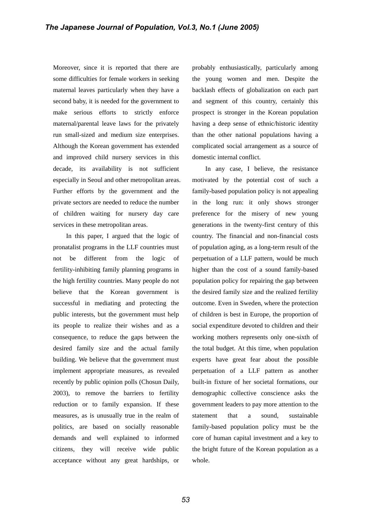Moreover, since it is reported that there are some difficulties for female workers in seeking maternal leaves particularly when they have a second baby, it is needed for the government to make serious efforts to strictly enforce maternal/parental leave laws for the privately run small-sized and medium size enterprises. Although the Korean government has extended and improved child nursery services in this decade, its availability is not sufficient especially in Seoul and other metropolitan areas. Further efforts by the government and the private sectors are needed to reduce the number of children waiting for nursery day care services in these metropolitan areas.

In this paper, I argued that the logic of pronatalist programs in the LLF countries must not be different from the logic of fertility-inhibiting family planning programs in the high fertility countries. Many people do not believe that the Korean government is successful in mediating and protecting the public interests, but the government must help its people to realize their wishes and as a consequence, to reduce the gaps between the desired family size and the actual family building. We believe that the government must implement appropriate measures, as revealed recently by public opinion polls (Chosun Daily, 2003), to remove the barriers to fertility reduction or to family expansion. If these measures, as is unusually true in the realm of politics, are based on socially reasonable demands and well explained to informed citizens, they will receive wide public acceptance without any great hardships, or probably enthusiastically, particularly among the young women and men. Despite the backlash effects of globalization on each part and segment of this country, certainly this prospect is stronger in the Korean population having a deep sense of ethnic/historic identity than the other national populations having a complicated social arrangement as a source of domestic internal conflict.

In any case, I believe, the resistance motivated by the potential cost of such a family-based population policy is not appealing in the long run: it only shows stronger preference for the misery of new young generations in the twenty-first century of this country. The financial and non-financial costs of population aging, as a long-term result of the perpetuation of a LLF pattern, would be much higher than the cost of a sound family-based population policy for repairing the gap between the desired family size and the realized fertility outcome. Even in Sweden, where the protection of children is best in Europe, the proportion of social expenditure devoted to children and their working mothers represents only one-sixth of the total budget. At this time, when population experts have great fear about the possible perpetuation of a LLF pattern as another built-in fixture of her societal formations, our demographic collective conscience asks the government leaders to pay more attention to the statement that a sound, sustainable family-based population policy must be the core of human capital investment and a key to the bright future of the Korean population as a whole.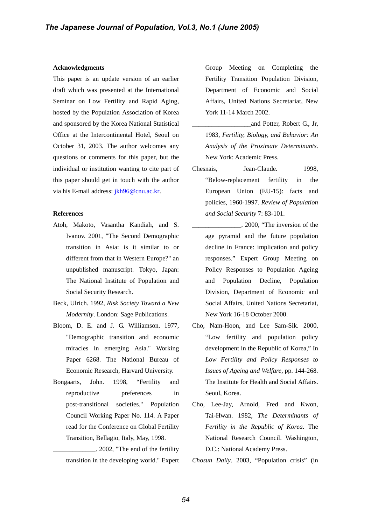## **Acknowledgments**

This paper is an update version of an earlier draft which was presented at the International Seminar on Low Fertility and Rapid Aging, hosted by the Population Association of Korea and sponsored by the Korea National Statistical Office at the Intercontinental Hotel, Seoul on October 31, 2003. The author welcomes any questions or comments for this paper, but the individual or institution wanting to cite part of this paper should get in touch with the author via his E-mail address: *ikh96@cnu.ac.kr.* 

# **References**

- Atoh, Makoto, Vasantha Kandiah, and S. Ivanov. 2001, "The Second Demographic transition in Asia: is it similar to or different from that in Western Europe?" an unpublished manuscript. Tokyo, Japan: The National Institute of Population and Social Security Research.
- Beck, Ulrich. 1992, *Risk Society Toward a New Modernity*. London: Sage Publications.
- Bloom, D. E. and J. G. Williamson. 1977, "Demographic transition and economic miracles in emerging Asia." Working Paper 6268. The National Bureau of Economic Research, Harvard University.
- Bongaarts, John. 1998, "Fertility and reproductive preferences in post-transitional societies." Population Council Working Paper No. 114. A Paper read for the Conference on Global Fertility Transition, Bellagio, Italy, May, 1998.

\_\_\_\_\_\_\_\_\_\_\_\_\_. 2002, "The end of the fertility transition in the developing world." Expert Group Meeting on Completing the Fertility Transition Population Division, Department of Economic and Social Affairs, United Nations Secretariat, New York 11-14 March 2002.

- \_\_\_\_\_\_\_\_\_\_\_\_\_\_\_\_\_\_and Potter, Robert G., Jr, 1983, *Fertility, Biology, and Behavior: An Analysis of the Proximate Determinants*. New York: Academic Press.
- Chesnais, Jean-Claude. 1998, "Below-replacement fertility in the European Union (EU-15): facts and policies, 1960-1997. *Review of Population and Social Security* 7: 83-101.
- \_\_\_\_\_\_\_\_\_\_\_\_\_\_\_. 2000, "The inversion of the age pyramid and the future population decline in France: implication and policy responses." Expert Group Meeting on Policy Responses to Population Ageing and Population Decline, Population Division, Department of Economic and Social Affairs, United Nations Secretariat, New York 16-18 October 2000.
- Cho, Nam-Hoon, and Lee Sam-Sik. 2000, "Low fertility and population policy development in the Republic of Korea," In *Low Fertility and Policy Responses to Issues of Ageing and Welfare*, pp. 144-268. The Institute for Health and Social Affairs. Seoul, Korea.
- Cho, Lee-Jay, Arnold, Fred and Kwon, Tai-Hwan. 1982, *The Determinants of Fertility in the Republic of Korea*. The National Research Council. Washington, D.C.: National Academy Press.

*Chosun Daily*. 2003, "Population crisis" (in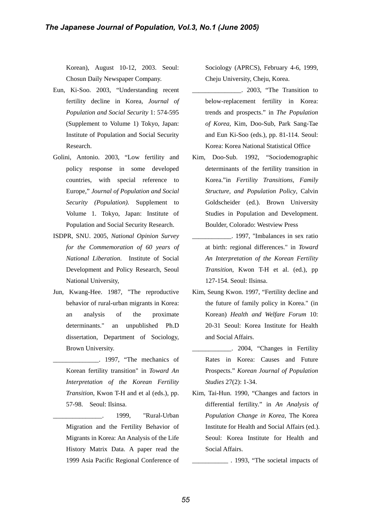Korean), August 10-12, 2003. Seoul: Chosun Daily Newspaper Company.

- Eun, Ki-Soo. 2003, "Understanding recent fertility decline in Korea, *Journal of Population and Social Security* 1: 574-595 (Supplement to Volume 1) Tokyo, Japan: Institute of Population and Social Security Research.
- Golini, Antonio. 2003, "Low fertility and policy response in some developed countries, with special reference to Europe," *Journal of Population and Social Security (Population)*. Supplement to Volume 1. Tokyo, Japan: Institute of Population and Social Security Research.
- ISDPR, SNU. 2005, *National Opinion Survey for the Commemoration of 60 years of National Liberation*. Institute of Social Development and Policy Research, Seoul National University,
- Jun, Kwang-Hee. 1987, "The reproductive behavior of rural-urban migrants in Korea: an analysis of the proximate determinants." an unpublished Ph.D dissertation, Department of Sociology, Brown University.
- \_\_\_\_\_\_\_\_\_\_\_\_\_\_. 1997, "The mechanics of Korean fertility transition" in *Toward An Interpretation of the Korean Fertility Transition*, Kwon T-H and et al (eds.), pp. 57-98. Seoul: Ilsinsa.
- 1999, "Rural-Urban Migration and the Fertility Behavior of Migrants in Korea: An Analysis of the Life History Matrix Data. A paper read the 1999 Asia Pacific Regional Conference of

Sociology (APRCS), February 4-6, 1999, Cheju University, Cheju, Korea.

- \_\_\_\_\_\_\_\_\_\_\_\_\_\_\_. 2003, "The Transition to below-replacement fertility in Korea: trends and prospects." in *The Population of Korea*, Kim, Doo-Sub, Park Sang-Tae and Eun Ki-Soo (eds.), pp. 81-114. Seoul: Korea: Korea National Statistical Office
- Kim, Doo-Sub. 1992, "Sociodemographic determinants of the fertility transition in Korea."in *Fertility Transitions, Family Structure, and Population Policy*, Calvin Goldscheider (ed.). Brown University Studies in Population and Development. Boulder, Colorado: Westview Press
- \_\_\_\_\_\_\_\_\_\_\_\_. 1997, "Imbalances in sex ratio at birth: regional differences." in *Toward An Interpretation of the Korean Fertility Transition*, Kwon T-H et al. (ed.), pp 127-154. Seoul: Ilsinsa.
- Kim, Seung Kwon. 1997, "Fertility decline and the future of family policy in Korea." (in Korean) *Health and Welfare Forum* 10: 20-31 Seoul: Korea Institute for Health and Social Affairs.
- \_\_\_\_\_\_\_\_\_\_\_\_. 2004, "Changes in Fertility Rates in Korea: Causes and Future Prospects." *Korean Journal of Population Studies* 27(2): 1-34.
- Kim, Tai-Hun. 1990, "Changes and factors in differential fertility." in *An Analysis of Population Change in Korea*, The Korea Institute for Health and Social Affairs (ed.). Seoul: Korea Institute for Health and Social Affairs.

\_\_\_\_\_\_\_\_\_\_\_ . 1993, "The societal impacts of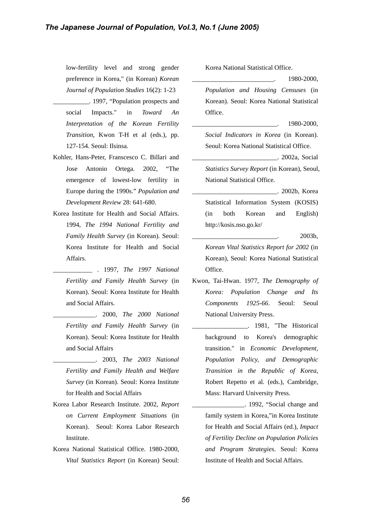low-fertility level and strong gender preference in Korea," (in Korean) *Korean Journal of Population Studies* 16(2): 1-23

- \_\_\_\_\_\_\_\_\_\_\_. 1997, "Population prospects and social Impacts." in *Toward An Interpretation of the Korean Fertility Transition*, Kwon T-H et al (eds.), pp. 127-154. Seoul: Ilsinsa.
- Kohler, Hans-Peter, Franscesco C. Billari and Jose Antonio Ortega. 2002, "The emergence of lowest-low fertility in Europe during the 1990s." *Population and Development Review* 28: 641-680.
- Korea Institute for Health and Social Affairs. 1994, *The 1994 National Fertility and Family Health Survey* (in Korean). Seoul: Korea Institute for Health and Social Affairs.

\_\_\_\_\_\_\_\_\_\_\_\_ . 1997, *The 1997 National Fertility and Family Health Survey* (in Korean). Seoul: Korea Institute for Health and Social Affairs.

- \_\_\_\_\_\_\_\_\_\_\_\_\_. 2000, *The 2000 National Fertility and Family Health Survey* (in Korean). Seoul: Korea Institute for Health and Social Affairs
- \_\_\_\_\_\_\_\_\_\_\_\_\_. 2003, *The 2003 National Fertility and Family Health and Welfare Survey* (in Korean). Seoul: Korea Institute for Health and Social Affairs
- Korea Labor Research Institute. 2002, *Report on Current Employment Situations* (in Korean). Seoul: Korea Labor Research Institute.
- Korea National Statistical Office. 1980-2000, *Vital Statistics Report* (in Korean) Seoul:

Korea National Statistical Office.

\_\_\_\_\_\_\_\_\_\_\_\_\_\_\_\_\_\_\_\_\_\_\_\_\_. 1980-2000,

- *Population and Housing Censuses* (in Korean). Seoul: Korea National Statistical Office.
- \_\_\_\_\_\_\_\_\_\_\_\_\_\_\_\_\_\_\_\_\_\_\_\_\_\_. 1980-2000, *Social Indicators in Korea* (in Korean). Seoul: Korea National Statistical Office.

\_\_\_\_\_\_\_\_\_\_\_\_\_\_\_\_\_\_\_\_\_\_\_\_\_\_. 2002a, Social

*Statistics Survey Report* (in Korean), Seoul, National Statistical Office.

\_\_\_\_\_\_\_\_\_\_\_\_\_\_\_\_\_\_\_\_\_\_\_\_\_\_. 2002b, Korea Statistical Information System (KOSIS) (in both Korean and English) http://kosis.nso.go.kr/

\_\_\_\_\_\_\_\_\_\_\_\_\_\_\_\_\_\_\_\_\_\_\_\_\_\_. 2003b,

*Korean Vital Statistics Report for 2002* (in Korean), Seoul: Korea National Statistical Office.

- Kwon, Tai-Hwan. 1977, *The Demography of Korea: Population Change and Its Components 1925-66*. Seoul: Seoul National University Press.
	- \_\_\_\_\_\_\_\_\_\_\_\_\_\_\_\_\_. 1981, "The Historical background to Korea's demographic transition." in *Economic Development, Population Policy, and Demographic Transition in the Republic of Korea*, Robert Repetto et al. (eds.), Cambridge, Mass: Harvard University Press.
	- \_\_\_\_\_\_\_\_\_\_\_\_\_\_\_\_. 1992, "Social change and family system in Korea,"in Korea Institute for Health and Social Affairs (ed.), *Impact of Fertility Decline on Population Policies and Program Strategies*. Seoul: Korea Institute of Health and Social Affairs.